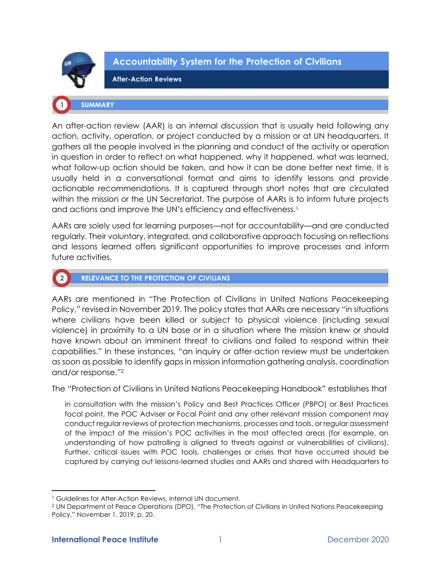

 $\boxed{2}$ 

**Accountability System for the Protection of Civilians** 

**After-Action Reviews** 

## **SUMMARY**

An after-action review (AAR) is an internal discussion that is usually held following any action, activity, operation, or project conducted by a mission or at UN headquarters. It gathers all the people involved in the planning and conduct of the activity or operation in question in order to reflect on what happened, why it happened, what was learned, what follow-up action should be taken, and how it can be done better next time. It is usually held in a conversational format and aims to identify lessons and provide actionable recommendations. It is captured through short notes that are circulated within the mission or the UN Secretariat. The purpose of AARs is to inform future projects and actions and improve the UN's efficiency and effectiveness.<sup>1</sup>

AARs are solely used for learning purposes—not for accountability—and are conducted regularly. Their voluntary, integrated, and collaborative approach focusing on reflections and lessons learned offers significant opportunities to improve processes and inform future activities.

## **RELEVANCE TO THE PROTECTION OF CIVILIANS**

AARs are mentioned in "The Protection of Civilians in United Nations Peacekeeping Policy," revised in November 2019. The policy states that AARs are necessary "in situations where civilians have been killed or subject to physical violence (including sexual violence) in proximity to a UN base or in a situation where the mission knew or should have known about an imminent threat to civilians and failed to respond within their capabilities." In these instances, "an inquiry or after-action review must be undertaken as soon as possible to identify gaps in mission information gathering analysis, coordination and/or response."<sup>2</sup>

The "Protection of Civilians in United Nations Peacekeeping Handbook" establishes that

in consultation with the mission's Policy and Best Practices Officer (PBPO) or Best Practices focal point, the POC Adviser or Focal Point and any other relevant mission component may conduct regular reviews of protection mechanisms, processes and tools, or regular assessment of the impact of the mission's POC activities in the most affected areas (for example, an understanding of how patrolling is aligned to threats against or vulnerabilities of civilians). Further, critical issues with POC tools, challenges or crises that have occurred should be captured by carrying out lessons-learned studies and AARs and shared with Headquarters to

<sup>&</sup>lt;sup>1</sup> Guidelines for After-Action Reviews, internal UN document.

<sup>2</sup> UN Department of Peace Operations (DPO), "The Protection of Civilians in United Nations Peacekeeping Policy," November 1, 2019, p. 20.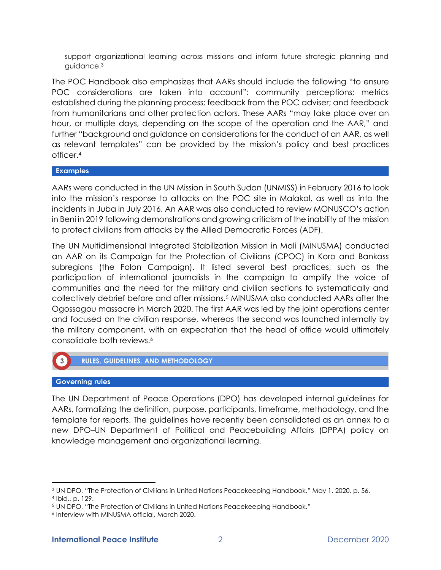support organizational learning across missions and inform future strategic planning and guidance.<sup>3</sup>

The POC Handbook also emphasizes that AARs should include the following "to ensure POC considerations are taken into account": community perceptions; metrics established during the planning process; feedback from the POC adviser; and feedback from humanitarians and other protection actors. These AARs "may take place over an hour, or multiple days, depending on the scope of the operation and the AAR," and further "background and guidance on considerations for the conduct of an AAR, as well as relevant templates" can be provided by the mission's policy and best practices officer.<sup>4</sup>

## **Examples**

AARs were conducted in the UN Mission in South Sudan (UNMISS) in February 2016 to look into the mission's response to attacks on the POC site in Malakal, as well as into the incidents in Juba in July 2016. An AAR was also conducted to review MONUSCO's action in Beni in 2019 following demonstrations and growing criticism of the inability of the mission to protect civilians from attacks by the Allied Democratic Forces (ADF).

The UN Multidimensional Integrated Stabilization Mission in Mali (MINUSMA) conducted an AAR on its Campaign for the Protection of Civilians (CPOC) in Koro and Bankass subregions (the Folon Campaign). It listed several best practices, such as the participation of international journalists in the campaign to amplify the voice of communities and the need for the military and civilian sections to systematically and collectively debrief before and after missions.<sup>5</sup> MINUSMA also conducted AARs after the Ogossagou massacre in March 2020. The first AAR was led by the joint operations center and focused on the civilian response, whereas the second was launched internally by the military component, with an expectation that the head of office would ultimately consolidate both reviews.<sup>6</sup>

# **RULES, GUIDELINES, AND METHODOLOGY**

#### **Governing rules**

The UN Department of Peace Operations (DPO) has developed internal guidelines for AARs, formalizing the definition, purpose, participants, timeframe, methodology, and the template for reports. The guidelines have recently been consolidated as an annex to a new DPO–UN Department of Political and Peacebuilding Affairs (DPPA) policy on knowledge management and organizational learning.

<sup>3</sup> UN DPO, "The Protection of Civilians in United Nations Peacekeeping Handbook," May 1, 2020, p. 56. 4 Ibid., p. 129.

<sup>5</sup> UN DPO, "The Protection of Civilians in United Nations Peacekeeping Handbook."

<sup>6</sup> Interview with MINUSMA official, March 2020.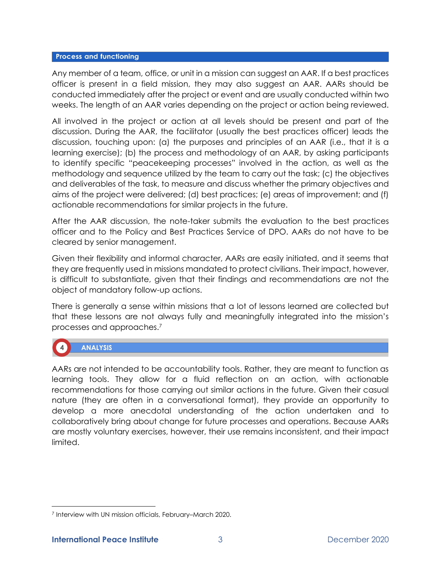#### **Process and functioning**

Any member of a team, office, or unit in a mission can suggest an AAR. If a best practices officer is present in a field mission, they may also suggest an AAR. AARs should be conducted immediately after the project or event and are usually conducted within two weeks. The length of an AAR varies depending on the project or action being reviewed.

All involved in the project or action at all levels should be present and part of the discussion. During the AAR, the facilitator (usually the best practices officer) leads the discussion, touching upon: (a) the purposes and principles of an AAR (i.e., that it is a learning exercise); (b) the process and methodology of an AAR, by asking participants to identify specific "peacekeeping processes" involved in the action, as well as the methodology and sequence utilized by the team to carry out the task; (c) the objectives and deliverables of the task, to measure and discuss whether the primary objectives and aims of the project were delivered; (d) best practices; (e) areas of improvement; and (f) actionable recommendations for similar projects in the future.

After the AAR discussion, the note-taker submits the evaluation to the best practices officer and to the Policy and Best Practices Service of DPO. AARs do not have to be cleared by senior management.

Given their flexibility and informal character, AARs are easily initiated, and it seems that they are frequently used in missions mandated to protect civilians. Their impact, however, is difficult to substantiate, given that their findings and recommendations are not the object of mandatory follow-up actions.

There is generally a sense within missions that a lot of lessons learned are collected but that these lessons are not always fully and meaningfully integrated into the mission's processes and approaches.<sup>7</sup>

# **ANALYSIS**

AARs are not intended to be accountability tools. Rather, they are meant to function as learning tools. They allow for a fluid reflection on an action, with actionable recommendations for those carrying out similar actions in the future. Given their casual nature (they are often in a conversational format), they provide an opportunity to develop a more anecdotal understanding of the action undertaken and to collaboratively bring about change for future processes and operations. Because AARs are mostly voluntary exercises, however, their use remains inconsistent, and their impact limited.

<sup>7</sup> Interview with UN mission officials, February–March 2020.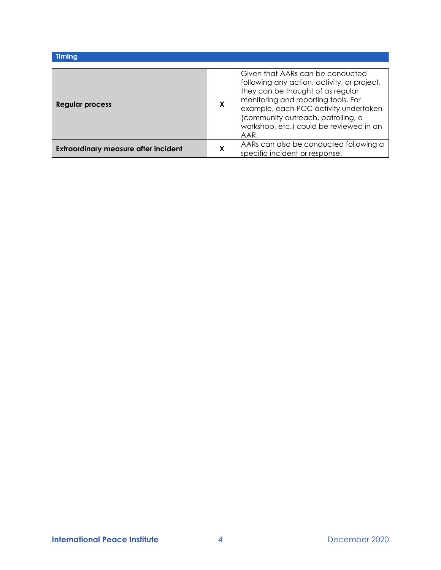| <b>Timing</b>                               |   |                                                                                                                                                                                                                                                                                               |
|---------------------------------------------|---|-----------------------------------------------------------------------------------------------------------------------------------------------------------------------------------------------------------------------------------------------------------------------------------------------|
|                                             |   |                                                                                                                                                                                                                                                                                               |
| Regular process                             | X | Given that AARs can be conducted<br>following any action, activity, or project,<br>they can be thought of as regular<br>monitoring and reporting tools. For<br>example, each POC activity undertaken<br>(community outreach, patrolling, a<br>workshop, etc.) could be reviewed in an<br>AAR. |
| <b>Extraordinary measure after incident</b> | X | AARs can also be conducted following a<br>specific incident or response.                                                                                                                                                                                                                      |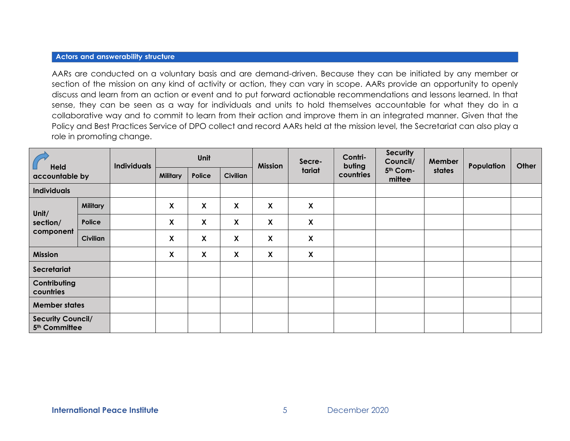#### **Actors and answerability structure**

AARs are conducted on a voluntary basis and are demand-driven. Because they can be initiated by any member or section of the mission on any kind of activity or action, they can vary in scope. AARs provide an opportunity to openly discuss and learn from an action or event and to put forward actionable recommendations and lessons learned. In that sense, they can be seen as a way for individuals and units to hold themselves accountable for what they do in a collaborative way and to commit to learn from their action and improve them in an integrated manner. Given that the Policy and Best Practices Service of DPO collect and record AARs held at the mission level, the Secretariat can also play a role in promoting change.

| <b>Held</b><br>accountable by                         |                 | <b>Individuals</b> | Unit                      |                           |                 | <b>Mission</b> | Secre-                    | Contri-<br>buting | <b>Security</b><br>Council/ | <b>Member</b> | Population | Other |
|-------------------------------------------------------|-----------------|--------------------|---------------------------|---------------------------|-----------------|----------------|---------------------------|-------------------|-----------------------------|---------------|------------|-------|
|                                                       |                 |                    | <b>Military</b>           | Police                    | <b>Civilian</b> |                | tariat                    | countries         | 5th Com-<br>mittee          | states        |            |       |
| <b>Individuals</b>                                    |                 |                    |                           |                           |                 |                |                           |                   |                             |               |            |       |
| Unit/<br>section/<br>component                        | <b>Military</b> |                    | $\boldsymbol{\mathsf{X}}$ | $\boldsymbol{\mathsf{X}}$ | X               | X              | X                         |                   |                             |               |            |       |
|                                                       | Police          |                    | $\boldsymbol{\mathsf{X}}$ | X                         | X               | X              | $\pmb{\chi}$              |                   |                             |               |            |       |
|                                                       | <b>Civilian</b> |                    | X                         | X                         | χ               | X              | $\pmb{\chi}$              |                   |                             |               |            |       |
| <b>Mission</b>                                        |                 |                    | X                         | X                         | X               | X              | $\boldsymbol{\mathsf{X}}$ |                   |                             |               |            |       |
| Secretariat                                           |                 |                    |                           |                           |                 |                |                           |                   |                             |               |            |       |
| Contributing<br>countries                             |                 |                    |                           |                           |                 |                |                           |                   |                             |               |            |       |
| <b>Member states</b>                                  |                 |                    |                           |                           |                 |                |                           |                   |                             |               |            |       |
| <b>Security Council/</b><br>5 <sup>th</sup> Committee |                 |                    |                           |                           |                 |                |                           |                   |                             |               |            |       |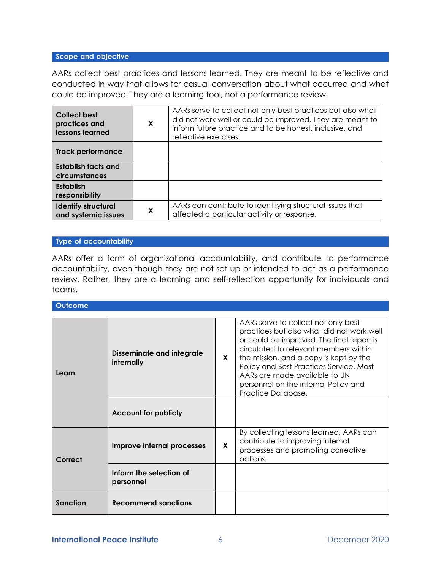#### Scope and objective

AARs collect best practices and lessons learned. They are meant to be reflective and conducted in way that allows for casual conversation about what occurred and what could be improved. They are a learning tool, not a performance review.

| <b>Collect best</b><br>practices and<br>lessons learned | X | AARs serve to collect not only best practices but also what<br>did not work well or could be improved. They are meant to<br>inform future practice and to be honest, inclusive, and<br>reflective exercises. |
|---------------------------------------------------------|---|--------------------------------------------------------------------------------------------------------------------------------------------------------------------------------------------------------------|
| <b>Track performance</b>                                |   |                                                                                                                                                                                                              |
| <b>Establish facts and</b><br>circumstances             |   |                                                                                                                                                                                                              |
| Establish<br>responsibility                             |   |                                                                                                                                                                                                              |
| <b>Identify structural</b><br>and systemic issues       | X | AARs can contribute to identifying structural issues that<br>affected a particular activity or response.                                                                                                     |

#### Type of accountability

AARs offer a form of organizational accountability, and contribute to performance accountability, even though they are not set up or intended to act as a performance review. Rather, they are a learning and self-reflection opportunity for individuals and teams.

**Outcome** 

| Learn    | <b>Disseminate and integrate</b><br>internally | X | AARs serve to collect not only best<br>practices but also what did not work well<br>or could be improved. The final report is<br>circulated to relevant members within<br>the mission, and a copy is kept by the<br>Policy and Best Practices Service. Most<br>AARs are made available to UN<br>personnel on the internal Policy and<br>Practice Database. |
|----------|------------------------------------------------|---|------------------------------------------------------------------------------------------------------------------------------------------------------------------------------------------------------------------------------------------------------------------------------------------------------------------------------------------------------------|
|          | <b>Account for publicly</b>                    |   |                                                                                                                                                                                                                                                                                                                                                            |
| Correct  | Improve internal processes                     | X | By collecting lessons learned, AARs can<br>contribute to improving internal<br>processes and prompting corrective<br>actions.                                                                                                                                                                                                                              |
|          | Inform the selection of<br>personnel           |   |                                                                                                                                                                                                                                                                                                                                                            |
| Sanction | <b>Recommend sanctions</b>                     |   |                                                                                                                                                                                                                                                                                                                                                            |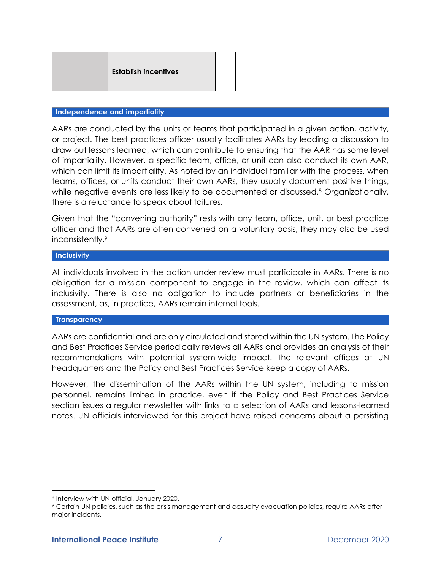| <b>Establish incentives</b> |  |
|-----------------------------|--|
|                             |  |

#### Independence and impartiality

AARs are conducted by the units or teams that participated in a given action, activity, or project. The best practices officer usually facilitates AARs by leading a discussion to draw out lessons learned, which can contribute to ensuring that the AAR has some level of impartiality. However, a specific team, office, or unit can also conduct its own AAR, which can limit its impartiality. As noted by an individual familiar with the process, when teams, offices, or units conduct their own AARs, they usually document positive things, while negative events are less likely to be documented or discussed.<sup>8</sup> Organizationally, there is a reluctance to speak about failures.

Given that the "convening authority" rests with any team, office, unit, or best practice officer and that AARs are often convened on a voluntary basis, they may also be used inconsistently.<sup>9</sup>

#### Inclusivity

All individuals involved in the action under review must participate in AARs. There is no obligation for a mission component to engage in the review, which can affect its inclusivity. There is also no obligation to include partners or beneficiaries in the assessment, as, in practice, AARs remain internal tools.

#### **Transparency**

AARs are confidential and are only circulated and stored within the UN system. The Policy and Best Practices Service periodically reviews all AARs and provides an analysis of their recommendations with potential system-wide impact. The relevant offices at UN headquarters and the Policy and Best Practices Service keep a copy of AARs.

However, the dissemination of the AARs within the UN system, including to mission personnel, remains limited in practice, even if the Policy and Best Practices Service section issues a regular newsletter with links to a selection of AARs and lessons-learned notes. UN officials interviewed for this project have raised concerns about a persisting

<sup>8</sup> Interview with UN official, January 2020.

<sup>9</sup> Certain UN policies, such as the crisis management and casualty evacuation policies, require AARs after major incidents.